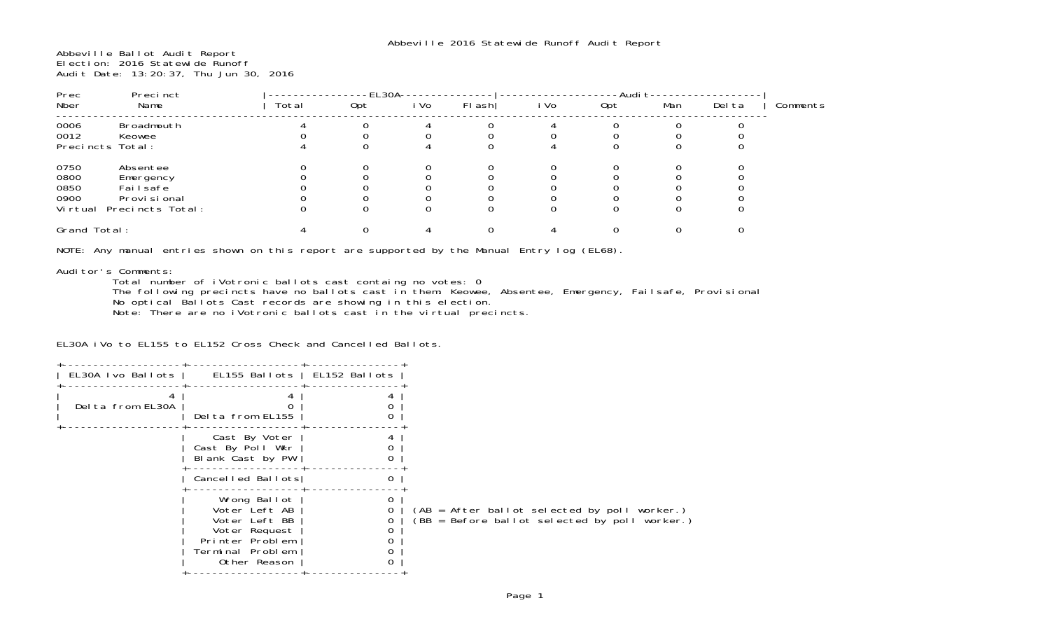Abbeville Ballot Audit Report Election: 2016 Statewide Runoff Audit Date: 13:20:37, Thu Jun 30, 2016

| Prec                                     | Precinct                                                               |       | -EL30A- |      |        |      | -Audi t |     |        |          |
|------------------------------------------|------------------------------------------------------------------------|-------|---------|------|--------|------|---------|-----|--------|----------|
| Nber                                     | Name                                                                   | Total | Opt     | i Vo | FI ash | i Vo | Opt     | Man | Del ta | Comments |
| 0006<br>0012<br>Precincts Total:         | Broadmouth<br>Keowee                                                   |       |         |      |        |      |         |     |        |          |
| 0750<br>0800<br>0850<br>0900<br>Vi rtual | Absentee<br>Emergency<br>Failsafe<br>Provi si onal<br>Precincts Total: |       |         |      |        |      |         |     |        |          |
| Grand Total:                             |                                                                        |       |         |      |        |      |         |     |        |          |

NOTE: Any manual entries shown on this report are supported by the Manual Entry log (EL68).

## Auditor's Comments:

Total number of iVotronic ballots cast containg no votes: 0

 The following precincts have no ballots cast in them: Keowee, Absentee, Emergency, Failsafe, Provisional No optical Ballots Cast records are showing in this election.

Note: There are no iVotronic ballots cast in the virtual precincts.

EL30A iVo to EL155 to EL152 Cross Check and Cancelled Ballots.

| EL30A Ivo Ballots | EL155 Ballots   EL152 Ballots                                                                                          |   |                                                                                               |
|-------------------|------------------------------------------------------------------------------------------------------------------------|---|-----------------------------------------------------------------------------------------------|
| Delta from EL30A  | Delta from EL155                                                                                                       |   |                                                                                               |
|                   | Cast By Voter<br>Cast By Poll Wkr<br>Blank Cast by PW                                                                  | 0 |                                                                                               |
|                   | Cancelled Ballots                                                                                                      | 0 |                                                                                               |
|                   | Wrong Ballot<br>Voter Left AB<br>Voter Left BB<br>Voter Request<br>Printer Problem<br>Terminal Problem<br>Other Reason |   | (AB = After ballot selected by poll worker.)<br>(BB = Before ballot selected by poll worker.) |
|                   |                                                                                                                        |   |                                                                                               |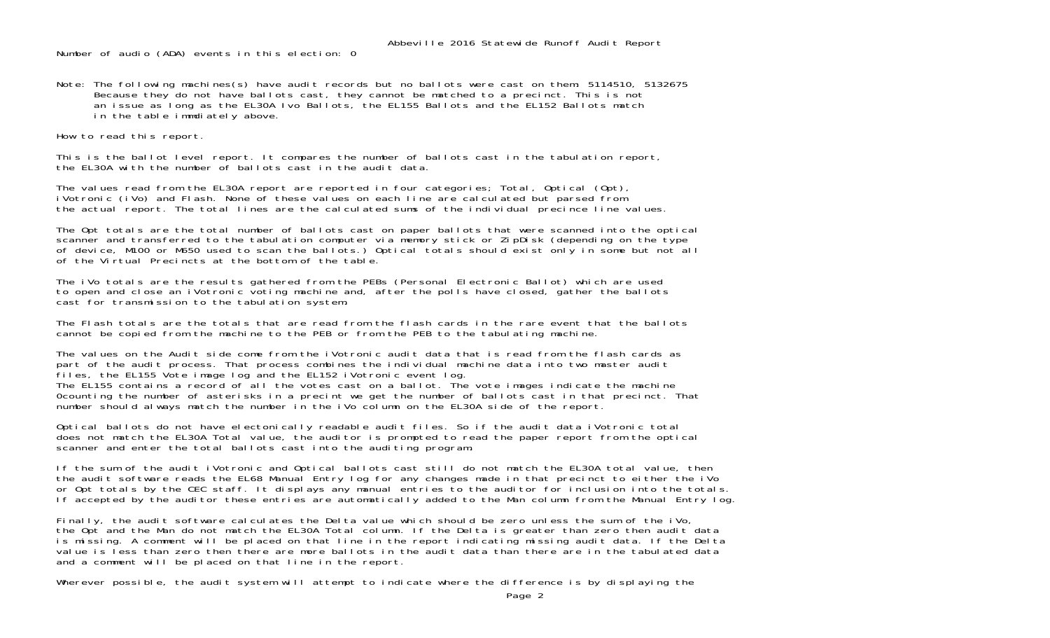Abbeville 2016 Statewide Runoff Audit Report

Number of audio (ADA) events in this election: 0

Note: The following machines(s) have audit records but no ballots were cast on them: 5114510, 5132675 Because they do not have ballots cast, they cannot be matched to a precinct. This is not an issue as long as the EL30A Ivo Ballots, the EL155 Ballots and the EL152 Ballots match in the table immdiately above.

How to read this report.

This is the ballot level report. It compares the number of ballots cast in the tabulation report, the EL30A with the number of ballots cast in the audit data.

The values read from the EL30A report are reported in four categories; Total, Optical (Opt), iVotronic (iVo) and Flash. None of these values on each line are calculated but parsed from the actual report. The total lines are the calculated sums of the individual precince line values.

The Opt totals are the total number of ballots cast on paper ballots that were scanned into the optical scanner and transferred to the tabulation computer via memory stick or ZipDisk (depending on the type of device, M100 or M650 used to scan the ballots.) Optical totals should exist only in some but not all of the Virtual Precincts at the bottom of the table.

The iVo totals are the results gathered from the PEBs (Personal Electronic Ballot) which are used to open and close an iVotronic voting machine and, after the polls have closed, gather the ballots cast for transmission to the tabulation system.

The Flash totals are the totals that are read from the flash cards in the rare event that the ballots cannot be copied from the machine to the PEB or from the PEB to the tabulating machine.

The values on the Audit side come from the iVotronic audit data that is read from the flash cards as part of the audit process. That process combines the individual machine data into two master audit files, the EL155 Vote image log and the EL152 iVotronic event log. The EL155 contains a record of all the votes cast on a ballot. The vote images indicate the machine 0counting the number of asterisks in a precint we get the number of ballots cast in that precinct. That number should always match the number in the iVo column on the EL30A side of the report.

Optical ballots do not have electonically readable audit files. So if the audit data iVotronic total does not match the EL30A Total value, the auditor is prompted to read the paper report from the optical scanner and enter the total ballots cast into the auditing program.

If the sum of the audit iVotronic and Optical ballots cast still do not match the EL30A total value, then the audit software reads the EL68 Manual Entry log for any changes made in that precinct to either the iVo or Opt totals by the CEC staff. It displays any manual entries to the auditor for inclusion into the totals. If accepted by the auditor these entries are automatically added to the Man column from the Manual Entry log.

Finally, the audit software calculates the Delta value which should be zero unless the sum of the iVo, the Opt and the Man do not match the EL30A Total column. If the Delta is greater than zero then audit data is missing. A comment will be placed on that line in the report indicating missing audit data. If the Delta value is less than zero then there are more ballots in the audit data than there are in the tabulated data and a comment will be placed on that line in the report.

Wherever possible, the audit system will attempt to indicate where the difference is by displaying the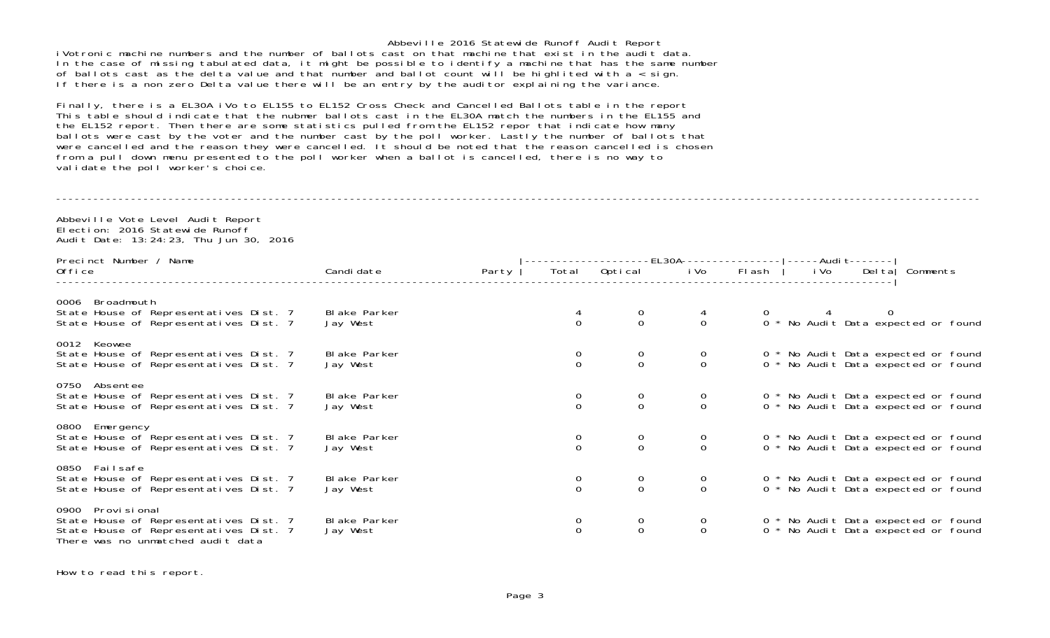Abbeville 2016 Statewide Runoff Audit Report iVotronic machine numbers and the number of ballots cast on that machine that exist in the audit data. In the case of missing tabulated data, it might be possible to identify a machine that has the same number of ballots cast as the delta value and that number and ballot count will be highlited with a < sign. If there is a non zero Delta value there will be an entry by the auditor explaining the variance.

Finally, there is a EL30A iVo to EL155 to EL152 Cross Check and Cancelled Ballots table in the report This table should indicate that the nubmer ballots cast in the EL30A match the numbers in the EL155 and the EL152 report. Then there are some statistics pulled from the EL152 repor that indicate how many ballots were cast by the voter and the number cast by the poll worker. Lastly the number of ballots that were cancelled and the reason they were cancelled. It should be noted that the reason cancelled is chosen from a pull down menu presented to the poll worker when a ballot is cancelled, there is no way to validate the poll worker's choice.

## ----------------------------------------------------------------------------------------------------------------------------------------------------

Abbeville Vote Level Audit Report Election: 2016 Statewide RunoffAudit Date: 13:24:23, Thu Jun 30, 2016

| Precinct Number / Name                                                                                                                         |                           |       |                                      |                                      |                                      |                                       |                                                                            |          |  |
|------------------------------------------------------------------------------------------------------------------------------------------------|---------------------------|-------|--------------------------------------|--------------------------------------|--------------------------------------|---------------------------------------|----------------------------------------------------------------------------|----------|--|
| 0ffice                                                                                                                                         | Candi date                | Party | Total                                | Optical                              |                                      | -EL30A---------------<br>i Vo  Fl ash |                                                                            | Comments |  |
| Broadmouth<br>0006<br>State House of Representatives Dist. 7<br>State House of Representatives Dist. 7                                         | Bl ake Parker<br>Jay West |       |                                      |                                      | $\begin{matrix} 4 \\ 0 \end{matrix}$ |                                       | 0            4            0<br>0  * No Audit Data expected or found        |          |  |
|                                                                                                                                                |                           |       |                                      |                                      |                                      |                                       |                                                                            |          |  |
| 0012 Keowee<br>State House of Representatives Dist. 7<br>State House of Representatives Dist. 7                                                | Bl ake Parker<br>Jay West |       | $\begin{matrix} 0 \\ 0 \end{matrix}$ | $\begin{matrix} 0 \\ 0 \end{matrix}$ | $\begin{matrix} 0 \\ 0 \end{matrix}$ |                                       | 0 * No Audit Data expected or found<br>0 * No Audit Data expected or found |          |  |
| 0750 Absentee<br>State House of Representatives Dist. 7<br>State House of Representatives Dist. 7                                              | Bl ake Parker<br>Jay West |       | $\Omega$                             | $\begin{matrix} 0 \\ 0 \end{matrix}$ | $\frac{0}{0}$                        |                                       | 0 * No Audit Data expected or found<br>0 * No Audit Data expected or found |          |  |
| 0800 Emergency<br>State House of Representatives Dist. 7<br>State House of Representatives Dist. 7                                             | Blake Parker<br>Jay West  |       | $\begin{matrix} 0 \\ 0 \end{matrix}$ | $\begin{matrix} 0 \\ 0 \end{matrix}$ | $\begin{matrix} 0 \\ 0 \end{matrix}$ |                                       | 0 * No Audit Data expected or found<br>0 * No Audit Data expected or found |          |  |
| 0850 Failsafe<br>State House of Representatives Dist. 7<br>State House of Representatives Dist. 7                                              | Bl ake Parker<br>Jay West |       | $\begin{matrix} 0 \\ 0 \end{matrix}$ | $\begin{matrix} 0 \\ 0 \end{matrix}$ | $\begin{matrix} 0 \\ 0 \end{matrix}$ |                                       | 0 * No Audit Data expected or found<br>0 * No Audit Data expected or found |          |  |
| Provi si onal<br>0900<br>State House of Representatives Dist. 7<br>State House of Representatives Dist. 7<br>There was no unmatched audit data | Bl ake Parker<br>Jay West |       | $\Omega$                             | $_{0}^{0}$                           | 0<br>$\Omega$                        |                                       | 0 * No Audit Data expected or found<br>0 * No Audit Data expected or found |          |  |

How to read this report.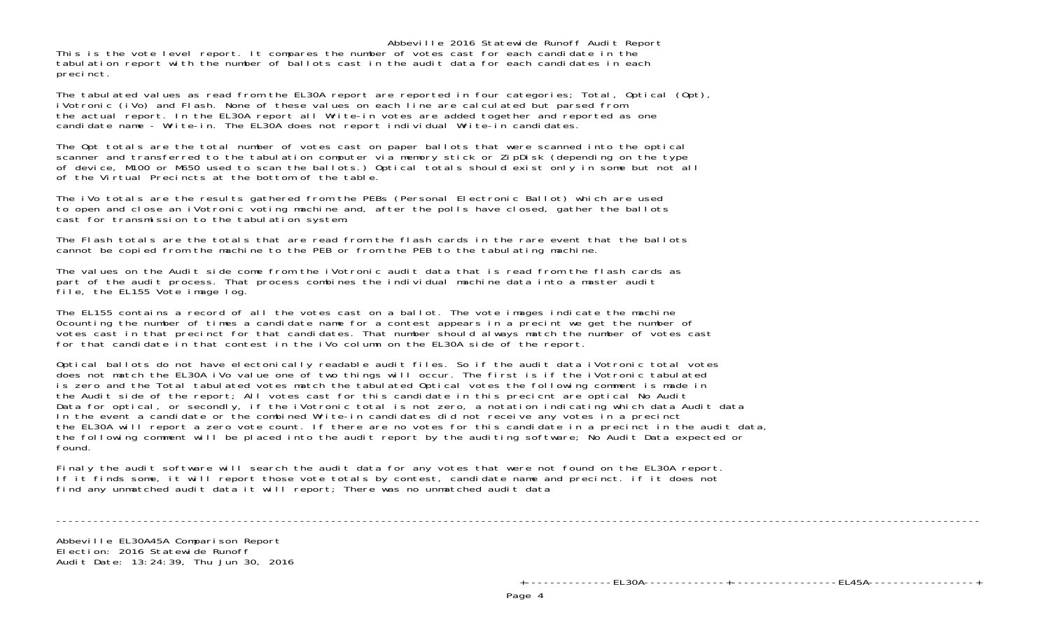Abbeville 2016 Statewide Runoff Audit Report This is the vote level report. It compares the number of votes cast for each candidate in the tabulation report with the number of ballots cast in the audit data for each candidates in each precinct.

The tabulated values as read from the EL30A report are reported in four categories; Total, Optical (Opt), iVotronic (iVo) and Flash. None of these values on each line are calculated but parsed from the actual report. In the EL30A report all Write-in votes are added together and reported as one candidate name - Write-in. The EL30A does not report individual Write-in candidates.

The Opt totals are the total number of votes cast on paper ballots that were scanned into the optical scanner and transferred to the tabulation computer via memory stick or ZipDisk (depending on the type of device, M100 or M650 used to scan the ballots.) Optical totals should exist only in some but not all of the Virtual Precincts at the bottom of the table.

The iVo totals are the results gathered from the PEBs (Personal Electronic Ballot) which are used to open and close an iVotronic voting machine and, after the polls have closed, gather the ballots cast for transmission to the tabulation system.

The Flash totals are the totals that are read from the flash cards in the rare event that the ballots cannot be copied from the machine to the PEB or from the PEB to the tabulating machine.

The values on the Audit side come from the iVotronic audit data that is read from the flash cards as part of the audit process. That process combines the individual machine data into a master audit file, the EL155 Vote image log.

The EL155 contains a record of all the votes cast on a ballot. The vote images indicate the machine 0counting the number of times a candidate name for a contest appears in a precint we get the number of votes cast in that precinct for that candidates. That number should always match the number of votes cast for that candidate in that contest in the iVo column on the EL30A side of the report.

Optical ballots do not have electonically readable audit files. So if the audit data iVotronic total votes does not match the EL30A iVo value one of two things will occur. The first is if the iVotronic tabulated is zero and the Total tabulated votes match the tabulated Optical votes the following comment is made in the Audit side of the report; All votes cast for this candidate in this precicnt are optical No Audit Data for optical, or secondly, if the iVotronic total is not zero, a notation indicating which data Audit data In the event a candidate or the combined Write-in candidates did not receive any votes in a precinct the EL30A will report a zero vote count. If there are no votes for this candidate in a precinct in the audit data, the following comment will be placed into the audit report by the auditing software; No Audit Data expected or found.

Finaly the audit software will search the audit data for any votes that were not found on the EL30A report. If it finds some, it will report those vote totals by contest, candidate name and precinct. if it does not find any unmatched audit data it will report; There was no unmatched audit data

----------------------------------------------------------------------------------------------------------------------------------------------------

Abbeville EL30A45A Comparison Report Election: 2016 Statewide RunoffAudit Date: 13:24:39, Thu Jun 30, 2016

+--------------EL30A-------------+-----------------EL45A-----------------+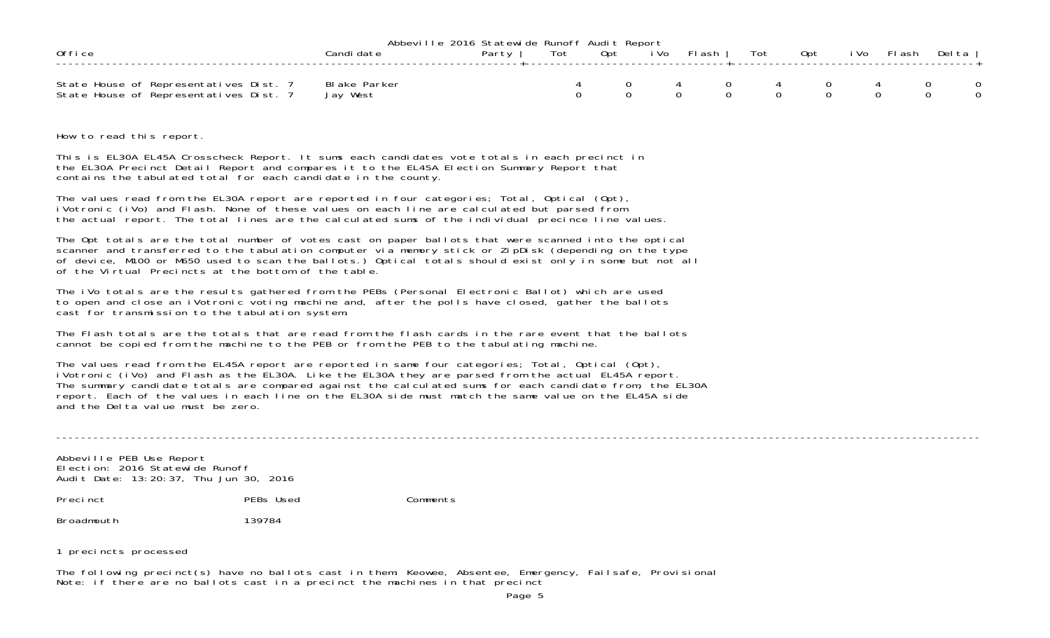|                                        | Abbeville 2016 Statewide Runoff Audit Report |       |     |       |      |          |     |     |      |          |         |  |
|----------------------------------------|----------------------------------------------|-------|-----|-------|------|----------|-----|-----|------|----------|---------|--|
| 0ffice                                 |                                              | Party | Tot | . Opt | i Vo | Fl ash ' | Tot | Opt | i Vo | – Fl ash | Delta I |  |
|                                        |                                              |       |     |       |      |          |     |     |      |          |         |  |
| State House of Representatives Dist. 7 | Blake Parker                                 |       |     |       |      |          |     |     |      |          |         |  |
| State House of Representatives Dist. 7 | Jay West                                     |       |     |       |      |          |     |     |      |          |         |  |

How to read this report.

This is EL30A EL45A Crosscheck Report. It sums each candidates vote totals in each precinct in the EL30A Precinct Detail Report and compares it to the EL45A Election Summary Report that contains the tabulated total for each candidate in the county.

The values read from the EL30A report are reported in four categories; Total, Optical (Opt), iVotronic (iVo) and Flash. None of these values on each line are calculated but parsed from the actual report. The total lines are the calculated sums of the individual precince line values.

The Opt totals are the total number of votes cast on paper ballots that were scanned into the optical scanner and transferred to the tabulation computer via memory stick or ZipDisk (depending on the type of device, M100 or M650 used to scan the ballots.) Optical totals should exist only in some but not all of the Virtual Precincts at the bottom of the table.

The iVo totals are the results gathered from the PEBs (Personal Electronic Ballot) which are used to open and close an iVotronic voting machine and, after the polls have closed, gather the ballots cast for transmission to the tabulation system.

The Flash totals are the totals that are read from the flash cards in the rare event that the ballotscannot be copied from the machine to the PEB or from the PEB to the tabulating machine.

The values read from the EL45A report are reported in same four categories; Total, Optical (Opt), iVotronic (iVo) and Flash as the EL30A. Like the EL30A they are parsed from the actual EL45A report. The summary candidate totals are compared against the calculated sums for each candidate from, the EL30A report. Each of the values in each line on the EL30A side must match the same value on the EL45A side and the Delta value must be zero.

----------------------------------------------------------------------------------------------------------------------------------------------------

Abbeville PEB Use Report Election: 2016 Statewide RunoffAudit Date: 13:20:37, Thu Jun 30, 2016

Precinct PEBs Used Comments

Broadmouth 139784

1 precincts processed

The following precinct(s) have no ballots cast in them: Keowee, Absentee, Emergency, Failsafe, Provisional Note: if there are no ballots cast in a precinct the machines in that precinct